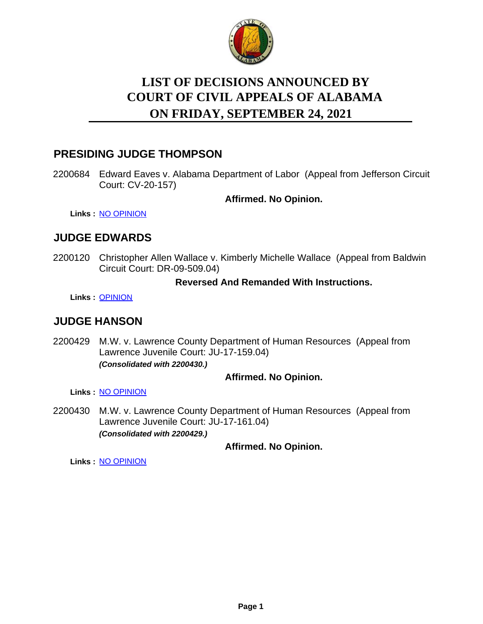

# **LIST OF DECISIONS ANNOUNCED BY ON FRIDAY, SEPTEMBER 24, 2021 COURT OF CIVIL APPEALS OF ALABAMA**

## **PRESIDING JUDGE THOMPSON**

2200684 Edward Eaves v. Alabama Department of Labor (Appeal from Jefferson Circuit Court: CV-20-157)

**Affirmed. No Opinion.**

**Links :** [NO OPINION](https://acis.alabama.gov/displaydocs.cfm?no=1099401&event=65I0JLSCS)

# **JUDGE EDWARDS**

2200120 Christopher Allen Wallace v. Kimberly Michelle Wallace (Appeal from Baldwin Circuit Court: DR-09-509.04)

#### **Reversed And Remanded With Instructions.**

**Links :** [OPINION](https://acis.alabama.gov/displaydocs.cfm?no=1099395&event=65I0JLRR1)

# **JUDGE HANSON**

2200429 M.W. v. Lawrence County Department of Human Resources (Appeal from Lawrence Juvenile Court: JU-17-159.04) *(Consolidated with 2200430.)*

#### **Affirmed. No Opinion.**

**Links :** [NO OPINION](https://acis.alabama.gov/displaydocs.cfm?no=1099399&event=65I0JLS51)

2200430 M.W. v. Lawrence County Department of Human Resources (Appeal from Lawrence Juvenile Court: JU-17-161.04) *(Consolidated with 2200429.)*

#### **Affirmed. No Opinion.**

**Links :** [NO OPINION](https://acis.alabama.gov/displaydocs.cfm?no=1099399&event=65I0JLS51)